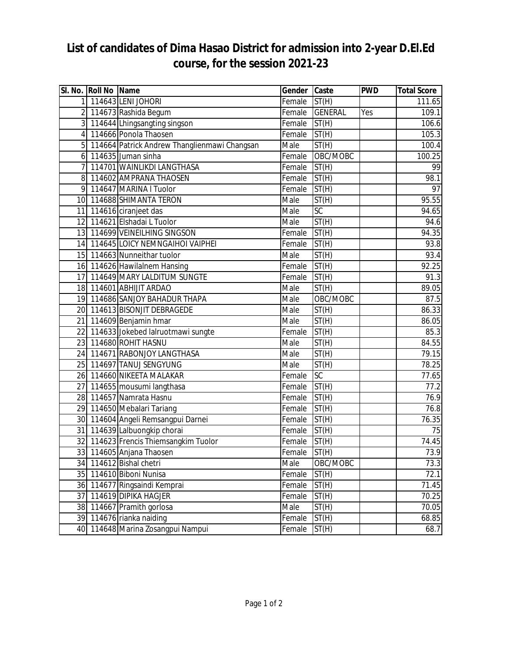## **List of candidates of Dima Hasao District for admission into 2-year D.El.Ed course, for the session 2021-23**

|                | SI. No. Roll No Name |                                              | Gender | Caste              | <b>PWD</b> | <b>Total Score</b> |
|----------------|----------------------|----------------------------------------------|--------|--------------------|------------|--------------------|
|                |                      | 1 114643 LENI JOHORI                         | Female | ST(H)              |            | 111.65             |
|                |                      | 2 114673 Rashida Begum                       | Female | <b>GENERAL</b>     | Yes        | 109.1              |
|                |                      | 3 114644 Lhingsangting singson               | Female | $\overline{ST}(H)$ |            | 106.6              |
| 4              |                      | 114666 Ponola Thaosen                        | Female | ST(H)              |            | 105.3              |
| 5              |                      | 114664 Patrick Andrew Thanglienmawi Changsan | Male   | ST(H)              |            | 100.4              |
| 6 <sup>1</sup> |                      | 114635 Juman sinha                           | Female | OBC/MOBC           |            | 100.25             |
| $\overline{7}$ |                      | 114701 WAINLIKDI LANGTHASA                   | Female | ST(H)              |            | 99                 |
| 8              |                      | 114602 AMPRANA THAOSEN                       | Female | ST(H)              |            | 98.1               |
| 9              |                      | 114647 MARINA I Tuolor                       | Female | ST(H)              |            | 97                 |
|                |                      | 10 114688 SHIMANTA TERON                     | Male   | ST(H)              |            | 95.55              |
|                |                      | 11 114616 ciranjeet das                      | Male   | $\overline{SC}$    |            | 94.65              |
| 12             |                      | 114621 Elshadai L Tuolor                     | Male   | ST(H)              |            | 94.6               |
|                |                      | 13 114699 VEINEILHING SINGSON                | Female | ST(H)              |            | 94.35              |
|                |                      | 14 114645 LOICY NEMNGAIHOI VAIPHEI           | Female | ST(H)              |            | 93.8               |
|                |                      | 15 114663 Nunneithar tuolor                  | Male   | ST(H)              |            | 93.4               |
|                |                      | 16 114626 Hawilalnem Hansing                 | Female | ST(H)              |            | 92.25              |
| 17             |                      | 114649 MARY LALDITUM SUNGTE                  | Female | ST(H)              |            | 91.3               |
|                |                      | 18 114601 ABHIJIT ARDAO                      | Male   | ST(H)              |            | 89.05              |
|                |                      | 19 114686 SANJOY BAHADUR THAPA               | Male   | OBC/MOBC           |            | 87.5               |
|                |                      | 20 114613 BISONJIT DEBRAGEDE                 | Male   | ST(H)              |            | 86.33              |
|                |                      | 21 114609 Benjamin hmar                      | Male   | ST(H)              |            | 86.05              |
|                |                      | 22 114633 Jokebed lalruotmawi sungte         | Female | ST(H)              |            | 85.3               |
|                |                      | 23 114680 ROHIT HASNU                        | Male   | ST(H)              |            | 84.55              |
|                |                      | 24 114671 RABONJOY LANGTHASA                 | Male   | ST(H)              |            | 79.15              |
|                |                      | 25 114697 TANUJ SENGYUNG                     | Male   | ST(H)              |            | 78.25              |
|                |                      | 26 114660 NIKEETA MALAKAR                    | Female | <b>SC</b>          |            | 77.65              |
| 27             |                      | 114655 mousumi langthasa                     | Female | ST(H)              |            | 77.2               |
|                |                      | 28 114657 Namrata Hasnu                      | Female | ST(H)              |            | 76.9               |
|                |                      | 29 114650 Mebalari Tariang                   | Female | ST(H)              |            | 76.8               |
|                |                      | 30 114604 Angeli Remsangpui Darnei           | Female | ST(H)              |            | 76.35              |
|                |                      | 31 114639 Lalbuongkip chorai                 | Female | ST(H)              |            | 75                 |
|                |                      | 32 114623 Frencis Thiemsangkim Tuolor        | Female | ST(H)              |            | 74.45              |
|                |                      | 33 114605 Anjana Thaosen                     | Female | ST(H)              |            | 73.9               |
| 34             |                      | 114612 Bishal chetri                         | Male   | OBC/MOBC           |            | 73.3               |
|                |                      | 35 114610 Biboni Nunisa                      | Female | ST(H)              |            | 72.1               |
|                |                      | 36 114677 Ringsaindi Kemprai                 | Female | ST(H)              |            | 71.45              |
| 37             |                      | 114619 DIPIKA HAGJER                         | Female | ST(H)              |            | $\overline{7}0.25$ |
| 38             |                      | 114667 Pramith gorlosa                       | Male   | $\overline{ST}(H)$ |            | $\overline{7}0.05$ |
| 39             |                      | 114676 rianka naiding                        | Female | ST(H)              |            | 68.85              |
| 40             |                      | 114648 Marina Zosangpui Nampui               | Female | ST(H)              |            | 68.7               |